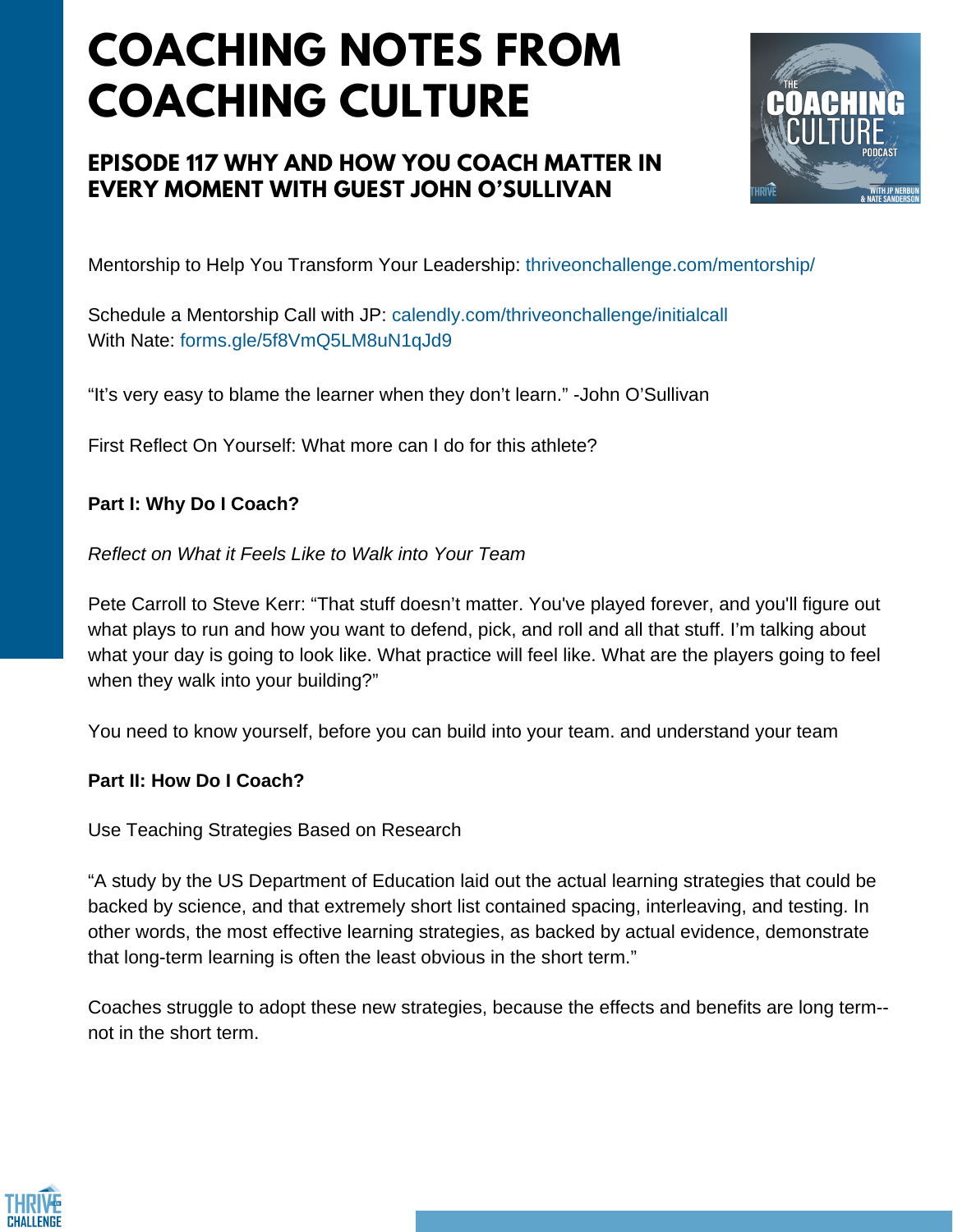# **COACHING NOTES FROM COACHING CULTURE**

### **EPISODE 117 WHY AND HOW YOU COACH MATTER IN EVERY MOMENT WITH GUEST JOHN O'SULLIVAN**



Mentorship to Help You Transform Your Leadership: thriveonchallenge.com/mentorship/

Schedule a Mentorship Call with JP: calendly.com/thriveonchallenge/initialcall With Nate: forms.gle/5f8VmQ5LM8uN1qJd9

"It's very easy to blame the learner when they don't learn." -John O'Sullivan

First Reflect On Yourself: What more can I do for this athlete?

### **Part I: Why Do I Coach?**

*Reflect on What it Feels Like to Walk into Your Team*

Pete Carroll to Steve Kerr: "That stuff doesn't matter. You've played forever, and you'll figure out what plays to run and how you want to defend, pick, and roll and all that stuff. I'm talking about what your day is going to look like. What practice will feel like. What are the players going to feel when they walk into your building?"

You need to know yourself, before you can build into your team. and understand your team

#### **Part II: How Do I Coach?**

Use Teaching Strategies Based on Research

"A study by the US Department of Education laid out the actual learning strategies that could be backed by science, and that extremely short list contained spacing, interleaving, and testing. In other words, the most effective learning strategies, as backed by actual evidence, demonstrate that long-term learning is often the least obvious in the short term."

Coaches struggle to adopt these new strategies, because the effects and benefits are long term- not in the short term.